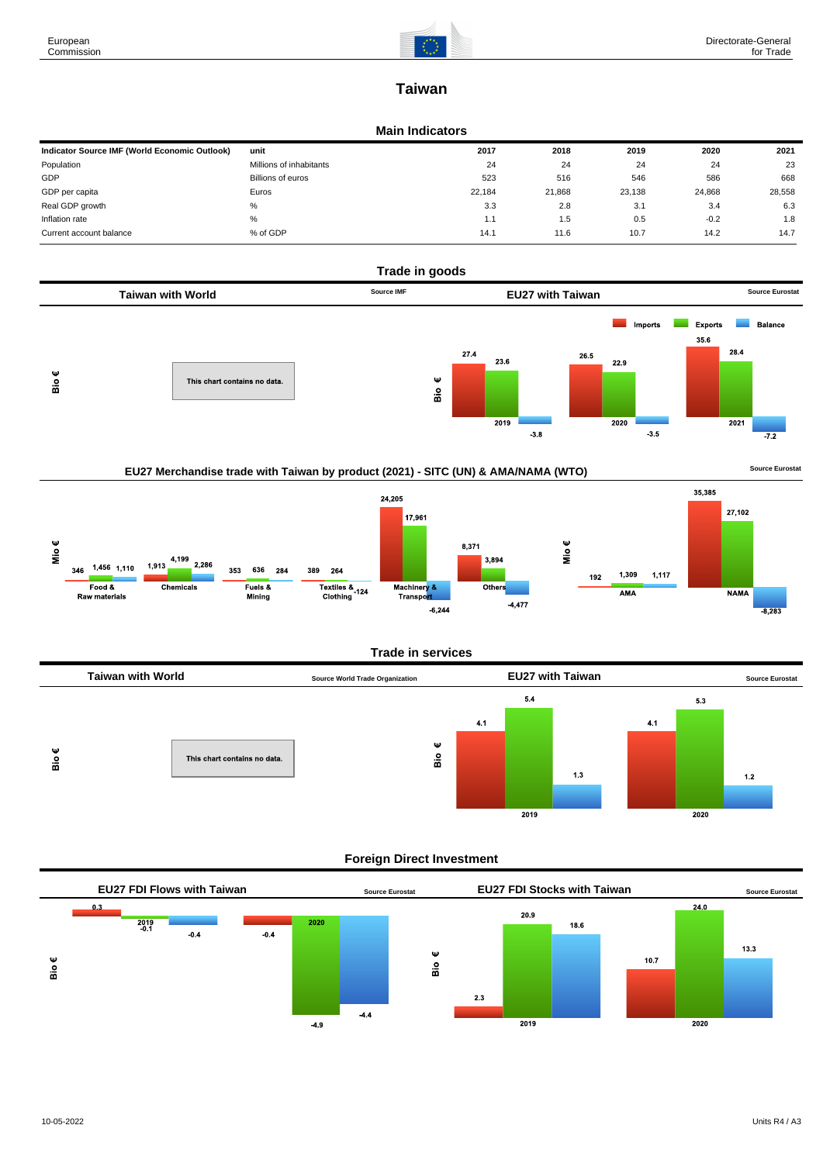

# **Taiwan**

#### **Main Indicators**

| Indicator Source IMF (World Economic Outlook) | unit                    | 2017   | 2018   | 2019   | 2020   | 2021   |
|-----------------------------------------------|-------------------------|--------|--------|--------|--------|--------|
| Population                                    | Millions of inhabitants | 24     | 24     | 24     | 24     | 23     |
| GDP                                           | Billions of euros       | 523    | 516    | 546    | 586    | 668    |
| GDP per capita                                | Euros                   | 22,184 | 21,868 | 23,138 | 24,868 | 28,558 |
| Real GDP growth                               | %                       | 3.3    | 2.8    | 3.1    | 3.4    | 6.3    |
| Inflation rate                                | %                       | 1.1    | 1.5    | 0.5    | $-0.2$ | 1.8    |
| Current account balance                       | % of GDP                | 14.1   | 11.6   | 10.7   | 14.2   | 14.7   |









## **Foreign Direct Investment**